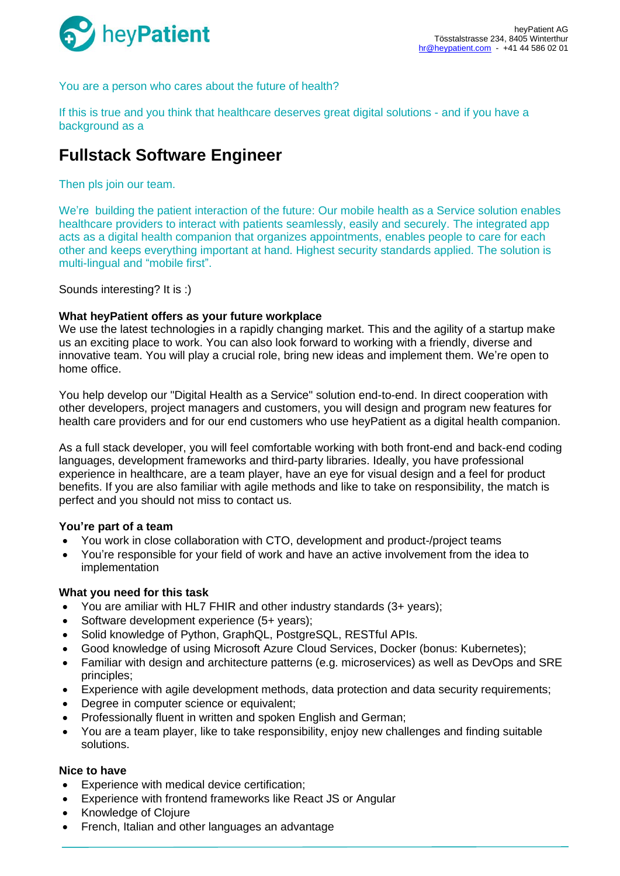

You are a person who cares about the future of health?

If this is true and you think that healthcare deserves great digital solutions - and if you have a background as a

# **Fullstack Software Engineer**

Then pls join our team.

We're building the patient interaction of the future: Our mobile health as a Service solution enables healthcare providers to interact with patients seamlessly, easily and securely. The integrated app acts as a digital health companion that organizes appointments, enables people to care for each other and keeps everything important at hand. Highest security standards applied. The solution is multi-lingual and "mobile first".

Sounds interesting? It is :)

## **What heyPatient offers as your future workplace**

We use the latest technologies in a rapidly changing market. This and the agility of a startup make us an exciting place to work. You can also look forward to working with a friendly, diverse and innovative team. You will play a crucial role, bring new ideas and implement them. We're open to home office.

You help develop our "Digital Health as a Service" solution end-to-end. In direct cooperation with other developers, project managers and customers, you will design and program new features for health care providers and for our end customers who use heyPatient as a digital health companion.

As a full stack developer, you will feel comfortable working with both front-end and back-end coding languages, development frameworks and third-party libraries. Ideally, you have professional experience in healthcare, are a team player, have an eye for visual design and a feel for product benefits. If you are also familiar with agile methods and like to take on responsibility, the match is perfect and you should not miss to contact us.

# **You're part of a team**

- You work in close collaboration with CTO, development and product-/project teams
- You're responsible for your field of work and have an active involvement from the idea to implementation

#### **What you need for this task**

- You are amiliar with HL7 FHIR and other industry standards (3+ years);
- Software development experience (5+ years);
- Solid knowledge of Python, GraphQL, PostgreSQL, RESTful APIs.
- Good knowledge of using Microsoft Azure Cloud Services, Docker (bonus: Kubernetes);
- Familiar with design and architecture patterns (e.g. microservices) as well as DevOps and SRE principles;
- Experience with agile development methods, data protection and data security requirements;
- Degree in computer science or equivalent;
- Professionally fluent in written and spoken English and German;
- You are a team player, like to take responsibility, enjoy new challenges and finding suitable solutions.

## **Nice to have**

- Experience with medical device certification:
- Experience with frontend frameworks like React JS or Angular
- Knowledge of Clojure
- French, Italian and other languages an advantage